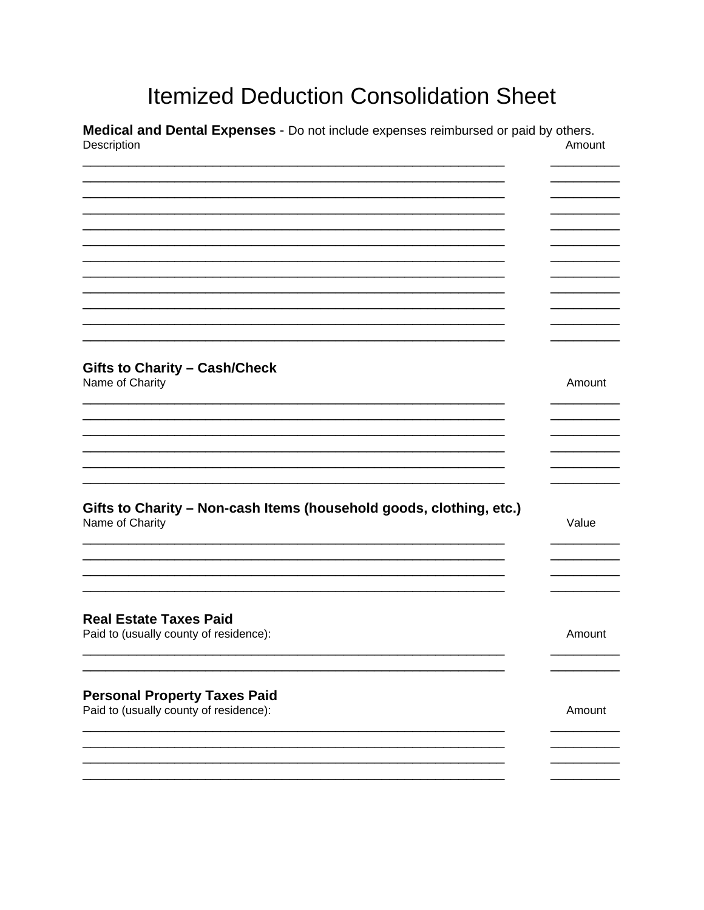## **Itemized Deduction Consolidation Sheet**

Medical and Dental Expenses - Do not include expenses reimbursed or paid by others. Description Amount

| <b>Gifts to Charity - Cash/Check</b>                                                   |        |
|----------------------------------------------------------------------------------------|--------|
| Name of Charity                                                                        | Amount |
|                                                                                        |        |
|                                                                                        |        |
|                                                                                        |        |
|                                                                                        |        |
|                                                                                        |        |
|                                                                                        |        |
|                                                                                        |        |
| Gifts to Charity - Non-cash Items (household goods, clothing, etc.)<br>Name of Charity | Value  |
|                                                                                        |        |
|                                                                                        |        |
|                                                                                        |        |
|                                                                                        |        |
|                                                                                        |        |
|                                                                                        |        |
| <b>Real Estate Taxes Paid</b>                                                          |        |
| Paid to (usually county of residence):                                                 | Amount |
|                                                                                        |        |
|                                                                                        |        |
|                                                                                        |        |
|                                                                                        |        |
| <b>Personal Property Taxes Paid</b>                                                    |        |
| Paid to (usually county of residence):                                                 | Amount |
|                                                                                        |        |
|                                                                                        |        |
|                                                                                        |        |
|                                                                                        |        |
|                                                                                        |        |